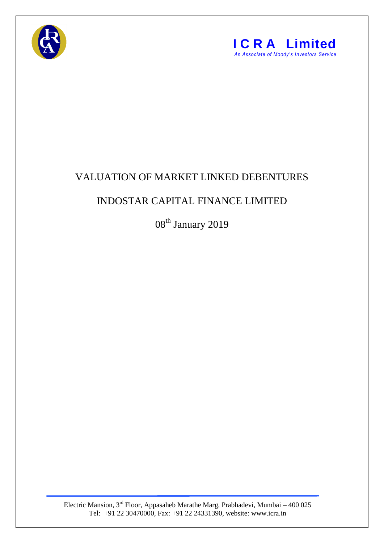



## VALUATION OF MARKET LINKED DEBENTURES

## INDOSTAR CAPITAL FINANCE LIMITED

08<sup>th</sup> January 2019

Electric Mansion,  $3<sup>rd</sup>$  Floor, Appasaheb Marathe Marg, Prabhadevi, Mumbai – 400 025 Tel: +91 22 30470000, Fax: +91 22 24331390, website: www.icra.in